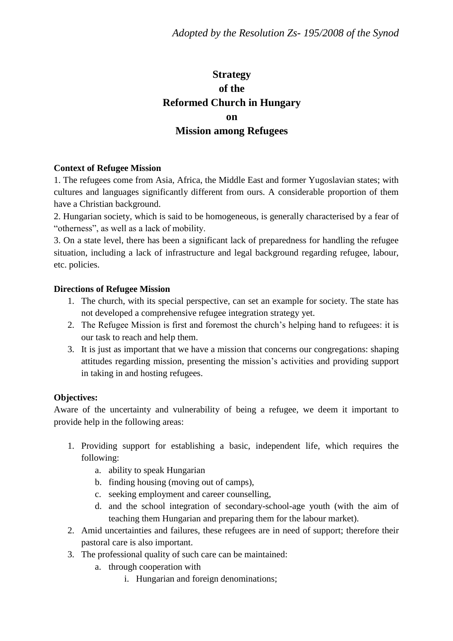# **Strategy of the Reformed Church in Hungary on Mission among Refugees**

### **Context of Refugee Mission**

1. The refugees come from Asia, Africa, the Middle East and former Yugoslavian states; with cultures and languages significantly different from ours. A considerable proportion of them have a Christian background.

2. Hungarian society, which is said to be homogeneous, is generally characterised by a fear of "otherness", as well as a lack of mobility.

3. On a state level, there has been a significant lack of preparedness for handling the refugee situation, including a lack of infrastructure and legal background regarding refugee, labour, etc. policies.

### **Directions of Refugee Mission**

- 1. The church, with its special perspective, can set an example for society. The state has not developed a comprehensive refugee integration strategy yet.
- 2. The Refugee Mission is first and foremost the church's helping hand to refugees: it is our task to reach and help them.
- 3. It is just as important that we have a mission that concerns our congregations: shaping attitudes regarding mission, presenting the mission's activities and providing support in taking in and hosting refugees.

# **Objectives:**

Aware of the uncertainty and vulnerability of being a refugee, we deem it important to provide help in the following areas:

- 1. Providing support for establishing a basic, independent life, which requires the following:
	- a. ability to speak Hungarian
	- b. finding housing (moving out of camps),
	- c. seeking employment and career counselling,
	- d. and the school integration of secondary-school-age youth (with the aim of teaching them Hungarian and preparing them for the labour market).
- 2. Amid uncertainties and failures, these refugees are in need of support; therefore their pastoral care is also important.
- 3. The professional quality of such care can be maintained:
	- a. through cooperation with
		- i. Hungarian and foreign denominations;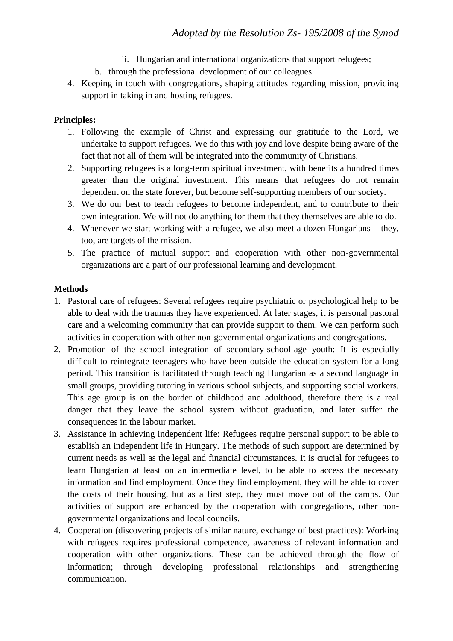- ii. Hungarian and international organizations that support refugees;
- b. through the professional development of our colleagues.
- 4. Keeping in touch with congregations, shaping attitudes regarding mission, providing support in taking in and hosting refugees.

# **Principles:**

- 1. Following the example of Christ and expressing our gratitude to the Lord, we undertake to support refugees. We do this with joy and love despite being aware of the fact that not all of them will be integrated into the community of Christians.
- 2. Supporting refugees is a long-term spiritual investment, with benefits a hundred times greater than the original investment. This means that refugees do not remain dependent on the state forever, but become self-supporting members of our society.
- 3. We do our best to teach refugees to become independent, and to contribute to their own integration. We will not do anything for them that they themselves are able to do.
- 4. Whenever we start working with a refugee, we also meet a dozen Hungarians they, too, are targets of the mission.
- 5. The practice of mutual support and cooperation with other non-governmental organizations are a part of our professional learning and development.

# **Methods**

- 1. Pastoral care of refugees: Several refugees require psychiatric or psychological help to be able to deal with the traumas they have experienced. At later stages, it is personal pastoral care and a welcoming community that can provide support to them. We can perform such activities in cooperation with other non-governmental organizations and congregations.
- 2. Promotion of the school integration of secondary-school-age youth: It is especially difficult to reintegrate teenagers who have been outside the education system for a long period. This transition is facilitated through teaching Hungarian as a second language in small groups, providing tutoring in various school subjects, and supporting social workers. This age group is on the border of childhood and adulthood, therefore there is a real danger that they leave the school system without graduation, and later suffer the consequences in the labour market.
- 3. Assistance in achieving independent life: Refugees require personal support to be able to establish an independent life in Hungary. The methods of such support are determined by current needs as well as the legal and financial circumstances. It is crucial for refugees to learn Hungarian at least on an intermediate level, to be able to access the necessary information and find employment. Once they find employment, they will be able to cover the costs of their housing, but as a first step, they must move out of the camps. Our activities of support are enhanced by the cooperation with congregations, other nongovernmental organizations and local councils.
- 4. Cooperation (discovering projects of similar nature, exchange of best practices): Working with refugees requires professional competence, awareness of relevant information and cooperation with other organizations. These can be achieved through the flow of information; through developing professional relationships and strengthening communication.